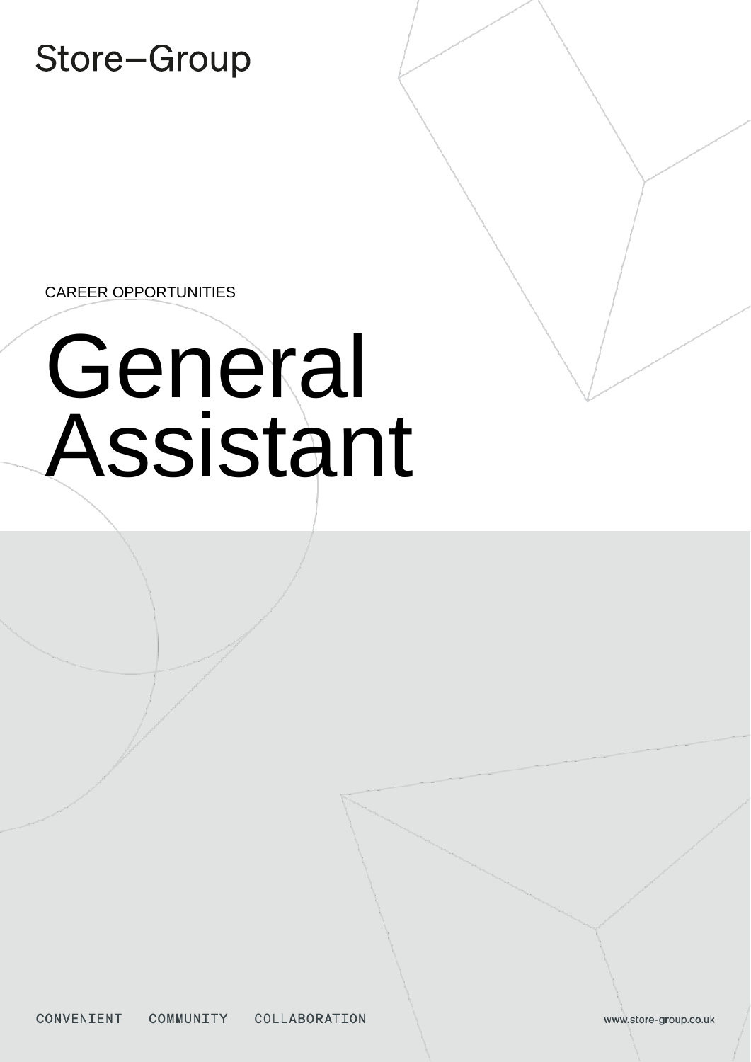Store-Group

CAREER OPPORTUNITIES

# General Assistant

www.store-group.co.uk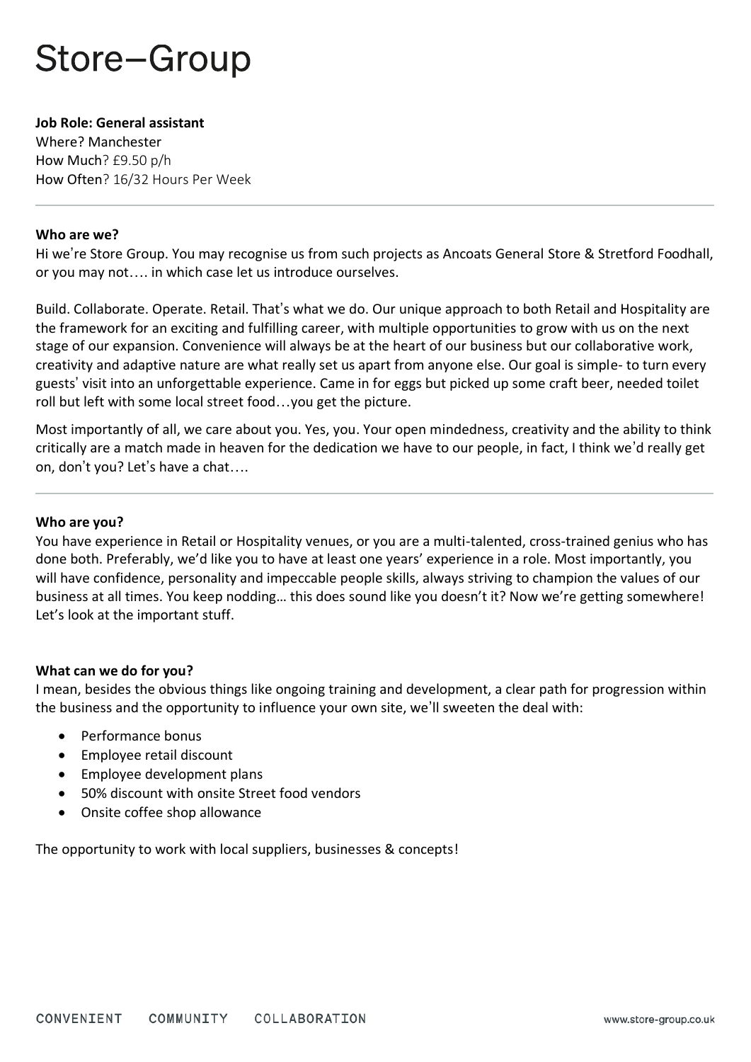# Store-Group

#### **Job Role: General assistant**

Where? Manchester How Much? £9.50 p/h How Often? 16/32 Hours Per Week

#### **Who are we?**

Hi we're Store Group. You may recognise us from such projects as Ancoats General Store & Stretford Foodhall, or you may not…. in which case let us introduce ourselves.

Build. Collaborate. Operate. Retail. That's what we do. Our unique approach to both Retail and Hospitality are the framework for an exciting and fulfilling career, with multiple opportunities to grow with us on the next stage of our expansion. Convenience will always be at the heart of our business but our collaborative work, creativity and adaptive nature are what really set us apart from anyone else. Our goal is simple- to turn every guests' visit into an unforgettable experience. Came in for eggs but picked up some craft beer, needed toilet roll but left with some local street food…you get the picture.

Most importantly of all, we care about you. Yes, you. Your open mindedness, creativity and the ability to think critically are a match made in heaven for the dedication we have to our people, in fact, I think we'd really get on, don't you? Let's have a chat….

## **Who are you?**

You have experience in Retail or Hospitality venues, or you are a multi-talented, cross-trained genius who has done both. Preferably, we'd like you to have at least one years' experience in a role. Most importantly, you will have confidence, personality and impeccable people skills, always striving to champion the values of our business at all times. You keep nodding… this does sound like you doesn't it? Now we're getting somewhere! Let's look at the important stuff.

## **What can we do for you?**

I mean, besides the obvious things like ongoing training and development, a clear path for progression within the business and the opportunity to influence your own site, we'll sweeten the deal with:

- Performance bonus
- Employee retail discount
- Employee development plans
- 50% discount with onsite Street food vendors
- Onsite coffee shop allowance

The opportunity to work with local suppliers, businesses & concepts!